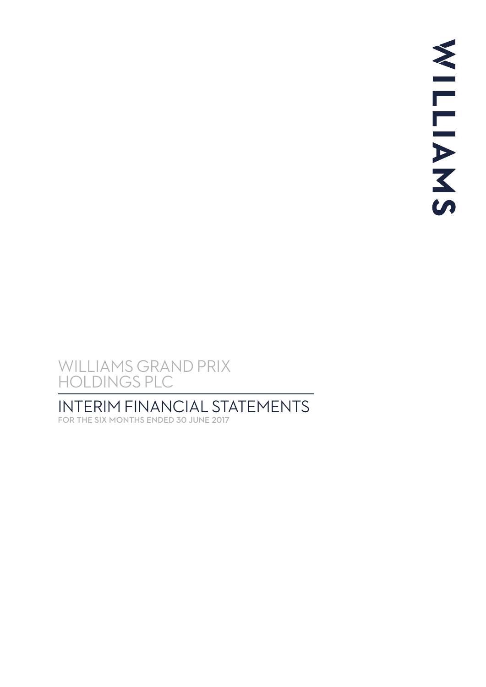# INTERIM FINANCIAL STATEMENTS

FOR THE SIX MONTHS ENDED 30 JUNE 2017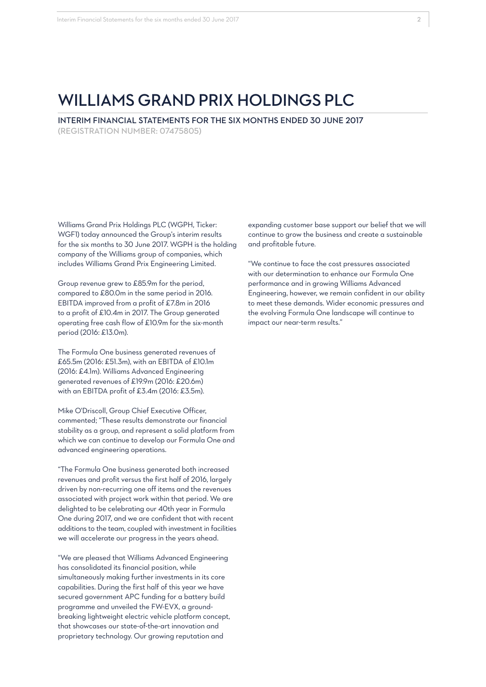INTERIM FINANCIAL STATEMENTS FOR THE SIX MONTHS ENDED 30 JUNE 2017 (REGISTRATION NUMBER: 07475805)

Williams Grand Prix Holdings PLC (WGPH, Ticker: WGF1) today announced the Group's interim results for the six months to 30 June 2017. WGPH is the holding company of the Williams group of companies, which includes Williams Grand Prix Engineering Limited.

Group revenue grew to £85.9m for the period, compared to £80.0m in the same period in 2016. EBITDA improved from a profit of £7.8m in 2016 to a profit of £10.4m in 2017. The Group generated operating free cash flow of £10.9m for the six-month period (2016: £13.0m).

The Formula One business generated revenues of £65.5m (2016: £51.3m), with an EBITDA of £10.1m (2016: £4.1m). Williams Advanced Engineering generated revenues of £19.9m (2016: £20.6m) with an EBITDA profit of £3.4m (2016: £3.5m).

Mike O'Driscoll, Group Chief Executive Officer, commented; "These results demonstrate our financial stability as a group, and represent a solid platform from which we can continue to develop our Formula One and advanced engineering operations.

"The Formula One business generated both increased revenues and profit versus the first half of 2016, largely driven by non-recurring one off items and the revenues associated with project work within that period. We are delighted to be celebrating our 40th year in Formula One during 2017, and we are confident that with recent additions to the team, coupled with investment in facilities we will accelerate our progress in the years ahead.

"We are pleased that Williams Advanced Engineering has consolidated its financial position, while simultaneously making further investments in its core capabilities. During the first half of this year we have secured government APC funding for a battery build programme and unveiled the FW-EVX, a groundbreaking lightweight electric vehicle platform concept, that showcases our state-of-the-art innovation and proprietary technology. Our growing reputation and

expanding customer base support our belief that we will continue to grow the business and create a sustainable and profitable future.

"We continue to face the cost pressures associated with our determination to enhance our Formula One performance and in growing Williams Advanced Engineering, however, we remain confident in our ability to meet these demands. Wider economic pressures and the evolving Formula One landscape will continue to impact our near-term results."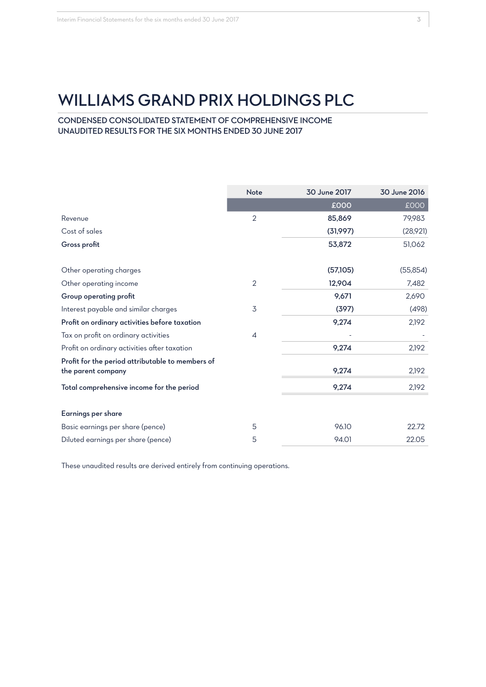CONDENSED CONSOLIDATED STATEMENT OF COMPREHENSIVE INCOME UNAUDITED RESULTS FOR THE SIX MONTHS ENDED 30 JUNE 2017

|                                                                        | <b>Note</b>    | 30 June 2017 | 30 June 2016 |
|------------------------------------------------------------------------|----------------|--------------|--------------|
|                                                                        |                | £000         | <b>COO3</b>  |
| Revenue                                                                | $\overline{2}$ | 85,869       | 79,983       |
| Cost of sales                                                          |                | (31,997)     | (28,921)     |
| Gross profit                                                           |                | 53,872       | 51,062       |
| Other operating charges                                                |                | (57,105)     | (55, 854)    |
| Other operating income                                                 | $\overline{2}$ | 12,904       | 7,482        |
| Group operating profit                                                 |                | 9,671        | 2,690        |
| Interest payable and similar charges                                   | 3              | (397)        | (498)        |
| Profit on ordinary activities before taxation                          |                | 9,274        | 2,192        |
| Tax on profit on ordinary activities                                   | 4              |              |              |
| Profit on ordinary activities after taxation                           |                | 9,274        | 2,192        |
| Profit for the period attributable to members of<br>the parent company |                | 9,274        | 2,192        |
| Total comprehensive income for the period                              |                | 9,274        | 2,192        |
| Earnings per share                                                     |                |              |              |
| Basic earnings per share (pence)                                       | 5              | 96.10        | 22.72        |
| Diluted earnings per share (pence)                                     | 5              | 94.01        | 22.05        |

These unaudited results are derived entirely from continuing operations.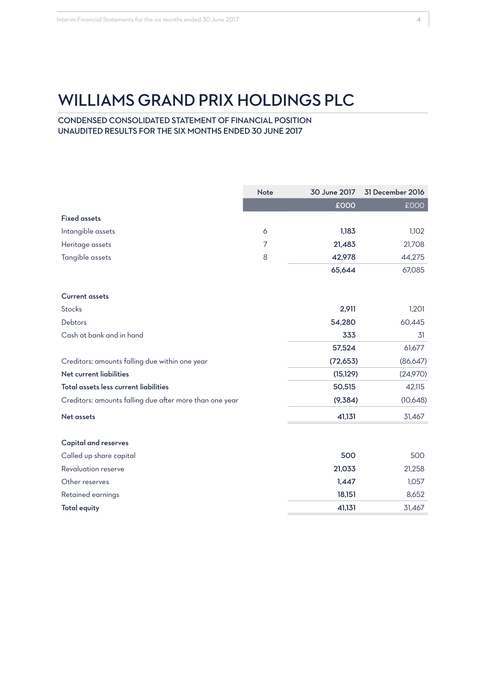CONDENSED CONSOLIDATED STATEMENT OF FINANCIAL POSITION UNAUDITED RESULTS FOR THE SIX MONTHS ENDED 30 JUNE 2017

|                                                         | Note | 30 June 2017 | 31 December 2016 |
|---------------------------------------------------------|------|--------------|------------------|
|                                                         |      | £000         | £000             |
| <b>Fixed assets</b>                                     |      |              |                  |
| Intangible assets                                       | 6    | 1,183        | 1,102            |
| Heritage assets                                         | 7    | 21,483       | 21,708           |
| Tangible assets                                         | 8    | 42,978       | 44,275           |
|                                                         |      | 65,644       | 67,085           |
| <b>Current assets</b>                                   |      |              |                  |
| Stocks                                                  |      | 2,911        | 1,201            |
| Debtors                                                 |      | 54,280       | 60,445           |
| Cash at bank and in hand                                |      | 333          | 31               |
|                                                         |      | 57,524       | 61,677           |
| Creditors: amounts falling due within one year          |      | (72, 653)    | (86, 647)        |
| Net current liabilities                                 |      | (15, 129)    | (24,970)         |
| Total assets less current liabilities                   |      | 50,515       | 42,115           |
| Creditors: amounts falling due after more than one year |      | (9,384)      | (10,648)         |
| Net assets                                              |      | 41,131       | 31,467           |
| <b>Capital and reserves</b>                             |      |              |                  |
| Called up share capital                                 |      | 500          | 500              |
| Revaluation reserve                                     |      | 21,033       | 21,258           |
| Other reserves                                          |      | 1,447        | 1,057            |
| Retained earnings                                       |      | 18,151       | 8,652            |
| <b>Total equity</b>                                     |      | 41,131       | 31,467           |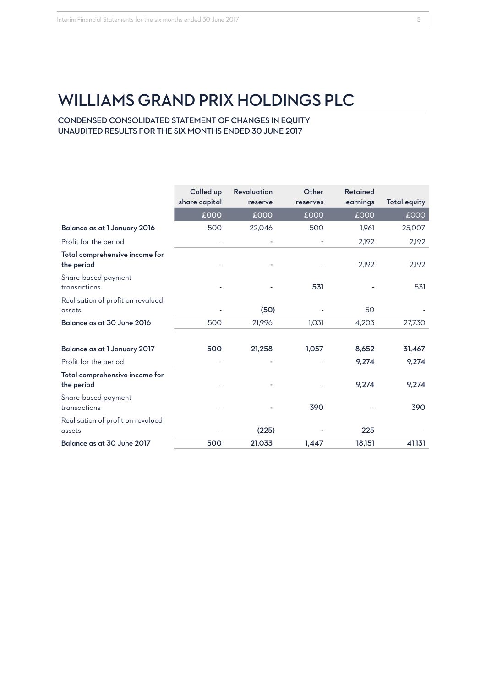CONDENSED CONSOLIDATED STATEMENT OF CHANGES IN EQUITY UNAUDITED RESULTS FOR THE SIX MONTHS ENDED 30 JUNE 2017

|                                              | Called up<br>share capital | Revaluation<br>reserve | Other<br>reserves | Retained<br>earnings | <b>Total equity</b> |
|----------------------------------------------|----------------------------|------------------------|-------------------|----------------------|---------------------|
|                                              | £000                       | £000                   | £000              | £000                 | <b>COO3</b>         |
| Balance as at 1 January 2016                 | 500                        | 22,046                 | 500               | 1,961                | 25,007              |
| Profit for the period                        |                            |                        |                   | 2,192                | 2,192               |
| Total comprehensive income for<br>the period |                            |                        |                   | 2,192                | 2,192               |
| Share-based payment<br>transactions          |                            |                        | 531               |                      | 531                 |
| Realisation of profit on revalued<br>assets  |                            | (50)                   |                   | 50                   |                     |
| Balance as at 30 June 2016                   | 500                        | 21,996                 | 1,031             | 4,203                | 27,730              |
| Balance as at 1 January 2017                 | 500                        | 21,258                 | 1,057             | 8,652                | 31,467              |
| Profit for the period                        |                            |                        |                   | 9,274                | 9,274               |
| Total comprehensive income for<br>the period |                            |                        |                   | 9,274                | 9,274               |
| Share-based payment<br>transactions          |                            |                        | 390               |                      | 390                 |
| Realisation of profit on revalued<br>assets  |                            | (225)                  |                   | 225                  |                     |
| Balance as at 30 June 2017                   | 500                        | 21,033                 | 1,447             | 18,151               | 41,131              |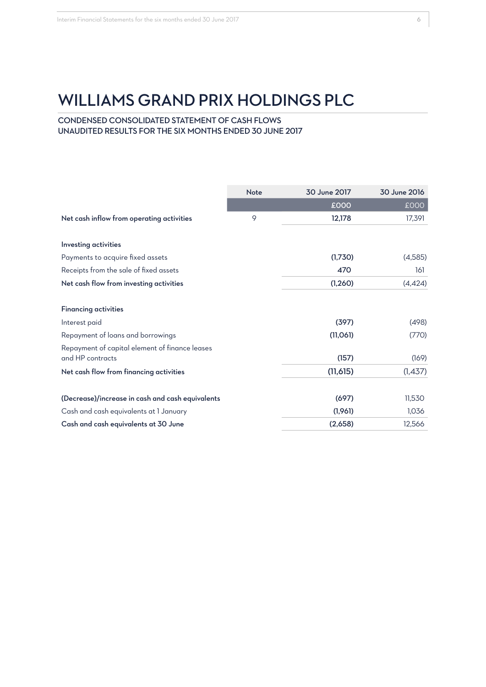# CONDENSED CONSOLIDATED STATEMENT OF CASH FLOWS UNAUDITED RESULTS FOR THE SIX MONTHS ENDED 30 JUNE 2017

|                                                                    | <b>Note</b> | 30 June 2017 | 30 June 2016 |
|--------------------------------------------------------------------|-------------|--------------|--------------|
|                                                                    |             | £000         | £000         |
| Net cash inflow from operating activities                          | 9           | 12,178       | 17,391       |
| <b>Investing activities</b>                                        |             |              |              |
| Payments to acquire fixed assets                                   |             | (1,730)      | (4,585)      |
| Receipts from the sale of fixed assets                             |             | 470          | 161          |
| Net cash flow from investing activities                            |             | (1, 260)     | (4, 424)     |
| <b>Financing activities</b>                                        |             |              |              |
| Interest paid                                                      |             | (397)        | (498)        |
| Repayment of loans and borrowings                                  |             | (11,061)     | (770)        |
| Repayment of capital element of finance leases<br>and HP contracts |             | (157)        | (169)        |
| Net cash flow from financing activities                            |             | (11,615)     | (1,437)      |
| (Decrease)/increase in cash and cash equivalents                   |             | (697)        | 11,530       |
| Cash and cash equivalents at I January                             |             | (1,961)      | 1,036        |
| Cash and cash equivalents at 30 June                               |             | (2,658)      | 12,566       |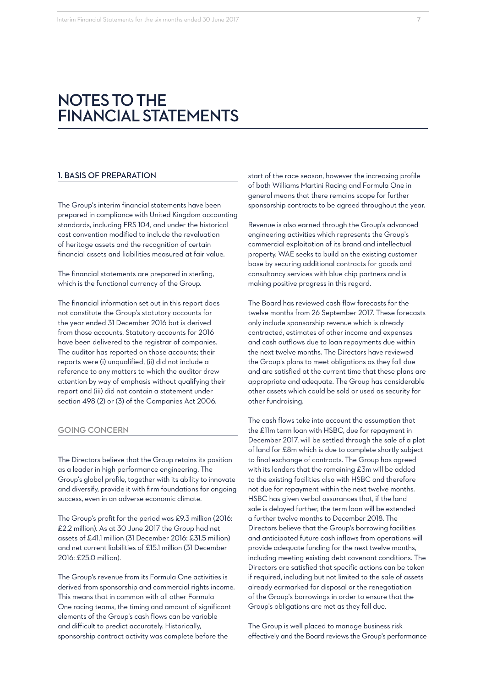# **NOTES TO THE FINANCIAL STATEMENTS**

#### 1. BASIS OF PREPARATION

The Group's interim financial statements have been prepared in compliance with United Kingdom accounting standards, including FRS 104, and under the historical cost convention modified to include the revaluation of heritage assets and the recognition of certain financial assets and liabilities measured at fair value.

The financial statements are prepared in sterling, which is the functional currency of the Group.

The financial information set out in this report does not constitute the Group's statutory accounts for the year ended 31 December 2016 but is derived from those accounts. Statutory accounts for 2016 have been delivered to the registrar of companies. The auditor has reported on those accounts; their reports were (i) unqualified, (ii) did not include a reference to any matters to which the auditor drew attention by way of emphasis without qualifying their report and (iii) did not contain a statement under section 498 (2) or (3) of the Companies Act 2006.

#### GOING CONCERN

The Directors believe that the Group retains its position as a leader in high performance engineering. The Group's global profile, together with its ability to innovate and diversify, provide it with firm foundations for ongoing success, even in an adverse economic climate.

The Group's profit for the period was £9.3 million (2016: £2.2 million). As at 30 June 2017 the Group had net assets of £41.1 million (31 December 2016: £31.5 million) and net current liabilities of £15.1 million (31 December 2016: £25.0 million).

The Group's revenue from its Formula One activities is derived from sponsorship and commercial rights income. This means that in common with all other Formula One racing teams, the timing and amount of significant elements of the Group's cash flows can be variable and difficult to predict accurately. Historically, sponsorship contract activity was complete before the

start of the race season, however the increasing profile of both Williams Martini Racing and Formula One in general means that there remains scope for further sponsorship contracts to be agreed throughout the year.

Revenue is also earned through the Group's advanced engineering activities which represents the Group's commercial exploitation of its brand and intellectual property. WAE seeks to build on the existing customer base by securing additional contracts for goods and consultancy services with blue chip partners and is making positive progress in this regard.

The Board has reviewed cash flow forecasts for the twelve months from 26 September 2017. These forecasts only include sponsorship revenue which is already contracted, estimates of other income and expenses and cash outflows due to loan repayments due within the next twelve months. The Directors have reviewed the Group's plans to meet obligations as they fall due and are satisfied at the current time that these plans are appropriate and adequate. The Group has considerable other assets which could be sold or used as security for other fundraising.

The cash flows take into account the assumption that the £11m term loan with HSBC, due for repayment in December 2017, will be settled through the sale of a plot of land for £8m which is due to complete shortly subject to final exchange of contracts. The Group has agreed with its lenders that the remaining £3m will be added to the existing facilities also with HSBC and therefore not due for repayment within the next twelve months. HSBC has given verbal assurances that, if the land sale is delayed further, the term loan will be extended a further twelve months to December 2018. The Directors believe that the Group's borrowing facilities and anticipated future cash inflows from operations will provide adequate funding for the next twelve months, including meeting existing debt covenant conditions. The Directors are satisfied that specific actions can be taken if required, including but not limited to the sale of assets already earmarked for disposal or the renegotiation of the Group's borrowings in order to ensure that the Group's obligations are met as they fall due.

The Group is well placed to manage business risk effectively and the Board reviews the Group's performance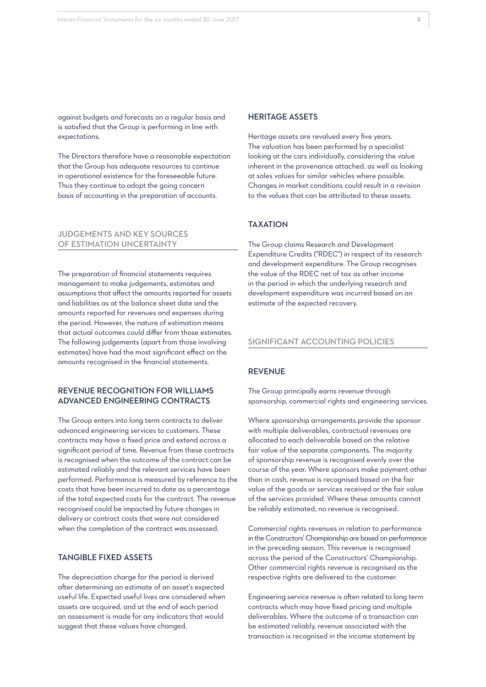against budgets and forecasts on a regular basis and is satisfied that the Group is performing in line with expectations.

The Directors therefore have a reasonable expectation that the Group has adequate resources to continue in operational existence for the foreseeable future. Thus they continue to adopt the going concern basis of accounting in the preparation of accounts.

#### JUDGEMENTS AND KEY SOURCES OF ESTIMATION UNCERTAINTY

The preparation of financial statements requires management to make judgements, estimates and assumptions that affect the amounts reported for assets and liabilities as at the balance sheet date and the amounts reported for revenues and expenses during the period. However, the nature of estimation means that actual outcomes could differ from those estimates. The following judgements (apart from those involving estimates) have had the most significant effect on the amounts recognised in the financial statements.

#### REVENUE RECOGNITION FOR WILLIAMS ADVANCED ENGINEERING CONTRACTS

The Group enters into long term contracts to deliver advanced engineering services to customers. These contracts may have a fixed price and extend across a significant period of time. Revenue from these contracts is recognised when the outcome of the contract can be estimated reliably and the relevant services have been performed. Performance is measured by reference to the costs that have been incurred to date as a percentage of the total expected costs for the contract. The revenue recognised could be impacted by future changes in delivery or contract costs that were not considered when the completion of the contract was assessed.

# TANGIBLE FIXED ASSETS

The depreciation charge for the period is derived after determining an estimate of an asset's expected useful life. Expected useful lives are considered when assets are acquired, and at the end of each period an assessment is made for any indicators that would suggest that these values have changed.

#### HERITAGE ASSETS

Heritage assets are revalued every five years. The valuation has been performed by a specialist looking at the cars individually, considering the value inherent in the provenance attached, as well as looking at sales values for similar vehicles where possible. Changes in market conditions could result in a revision to the values that can be attributed to these assets.

#### TAXATION

The Group claims Research and Development Expenditure Credits ("RDEC") in respect of its research and development expenditure. The Group recognises the value of the RDEC net of tax as other income in the period in which the underlying research and development expenditure was incurred based on an estimate of the expected recovery.

#### SIGNIFICANT ACCOUNTING POLICIES

#### REVENUE

The Group principally earns revenue through sponsorship, commercial rights and engineering services.

Where sponsorship arrangements provide the sponsor with multiple deliverables, contractual revenues are allocated to each deliverable based on the relative fair value of the separate components. The majority of sponsorship revenue is recognised evenly over the course of the year. Where sponsors make payment other than in cash, revenue is recognised based on the fair value of the goods or services received or the fair value of the services provided. Where these amounts cannot be reliably estimated, no revenue is recognised.

Commercial rights revenues in relation to performance in the Constructors' Championship are based on performance in the preceding season. This revenue is recognised across the period of the Constructors' Championship. Other commercial rights revenue is recognised as the respective rights are delivered to the customer.

Engineering service revenue is often related to long term contracts which may have fixed pricing and multiple deliverables. Where the outcome of a transaction can be estimated reliably, revenue associated with the transaction is recognised in the income statement by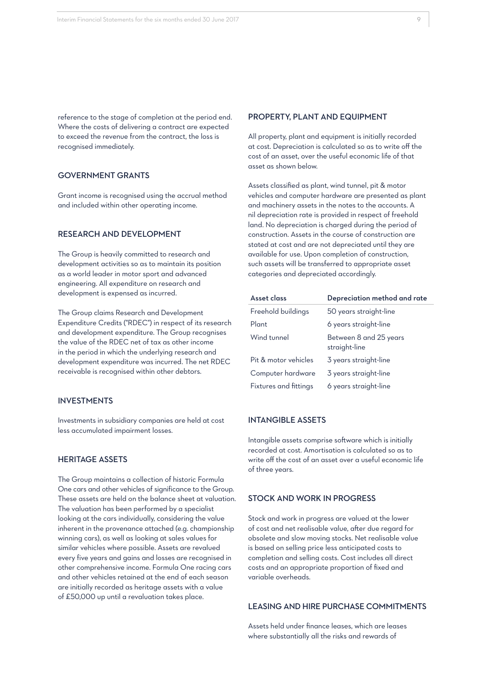reference to the stage of completion at the period end. Where the costs of delivering a contract are expected to exceed the revenue from the contract, the loss is recognised immediately.

# GOVERNMENT GRANTS

Grant income is recognised using the accrual method and included within other operating income.

#### RESEARCH AND DEVELOPMENT

The Group is heavily committed to research and development activities so as to maintain its position as a world leader in motor sport and advanced engineering. All expenditure on research and development is expensed as incurred.

The Group claims Research and Development Expenditure Credits ("RDEC") in respect of its research and development expenditure. The Group recognises the value of the RDEC net of tax as other income in the period in which the underlying research and development expenditure was incurred. The net RDEC receivable is recognised within other debtors.

#### INVESTMENTS

Investments in subsidiary companies are held at cost less accumulated impairment losses.

# HERITAGE ASSETS

The Group maintains a collection of historic Formula One cars and other vehicles of significance to the Group. These assets are held on the balance sheet at valuation. The valuation has been performed by a specialist looking at the cars individually, considering the value inherent in the provenance attached (e.g. championship winning cars), as well as looking at sales values for similar vehicles where possible. Assets are revalued every five years and gains and losses are recognised in other comprehensive income. Formula One racing cars and other vehicles retained at the end of each season are initially recorded as heritage assets with a value of £50,000 up until a revaluation takes place.

#### PROPERTY, PLANT AND EQUIPMENT

All property, plant and equipment is initially recorded at cost. Depreciation is calculated so as to write off the cost of an asset, over the useful economic life of that asset as shown below.

Assets classified as plant, wind tunnel, pit & motor vehicles and computer hardware are presented as plant and machinery assets in the notes to the accounts. A nil depreciation rate is provided in respect of freehold land. No depreciation is charged during the period of construction. Assets in the course of construction are stated at cost and are not depreciated until they are available for use. Upon completion of construction, such assets will be transferred to appropriate asset categories and depreciated accordingly.

| Asset class           | Depreciation method and rate            |
|-----------------------|-----------------------------------------|
| Freehold buildings    | 50 years straight-line                  |
| Plant                 | 6 years straight-line                   |
| Wind tunnel           | Between 8 and 25 years<br>straight-line |
| Pit & motor vehicles  | 3 years straight-line                   |
| Computer hardware     | 3 years straight-line                   |
| Fixtures and fittings | 6 years straight-line                   |

### INTANGIBLE ASSETS

Intangible assets comprise software which is initially recorded at cost. Amortisation is calculated so as to write off the cost of an asset over a useful economic life of three years.

#### STOCK AND WORK IN PROGRESS

Stock and work in progress are valued at the lower of cost and net realisable value, after due regard for obsolete and slow moving stocks. Net realisable value is based on selling price less anticipated costs to completion and selling costs. Cost includes all direct costs and an appropriate proportion of fixed and variable overheads.

## LEASING AND HIRE PURCHASE COMMITMENTS

Assets held under finance leases, which are leases where substantially all the risks and rewards of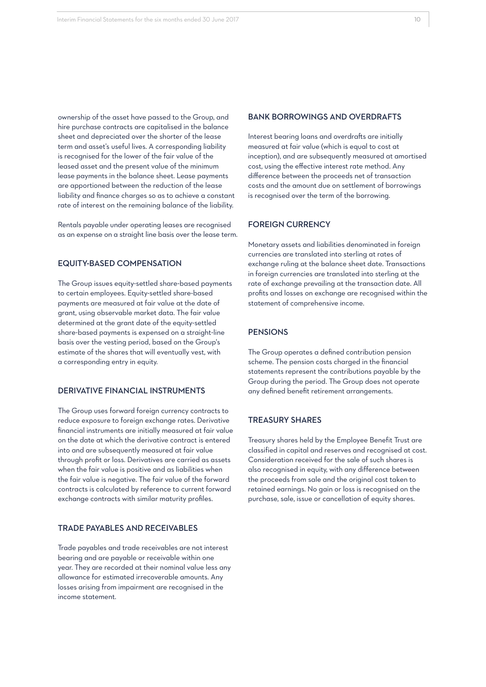ownership of the asset have passed to the Group, and hire purchase contracts are capitalised in the balance sheet and depreciated over the shorter of the lease term and asset's useful lives. A corresponding liability is recognised for the lower of the fair value of the leased asset and the present value of the minimum lease payments in the balance sheet. Lease payments are apportioned between the reduction of the lease liability and finance charges so as to achieve a constant rate of interest on the remaining balance of the liability.

Rentals payable under operating leases are recognised as an expense on a straight line basis over the lease term.

## EQUITY-BASED COMPENSATION

The Group issues equity-settled share-based payments to certain employees. Equity-settled share-based payments are measured at fair value at the date of grant, using observable market data. The fair value determined at the grant date of the equity-settled share-based payments is expensed on a straight-line basis over the vesting period, based on the Group's estimate of the shares that will eventually vest, with a corresponding entry in equity.

### DERIVATIVE FINANCIAL INSTRUMENTS

The Group uses forward foreign currency contracts to reduce exposure to foreign exchange rates. Derivative financial instruments are initially measured at fair value on the date at which the derivative contract is entered into and are subsequently measured at fair value through profit or loss. Derivatives are carried as assets when the fair value is positive and as liabilities when the fair value is negative. The fair value of the forward contracts is calculated by reference to current forward exchange contracts with similar maturity profiles.

#### TRADE PAYABLES AND RECEIVABLES

Trade payables and trade receivables are not interest bearing and are payable or receivable within one year. They are recorded at their nominal value less any allowance for estimated irrecoverable amounts. Any losses arising from impairment are recognised in the income statement.

#### BANK BORROWINGS AND OVERDRAFTS

Interest bearing loans and overdrafts are initially measured at fair value (which is equal to cost at inception), and are subsequently measured at amortised cost, using the effective interest rate method. Any difference between the proceeds net of transaction costs and the amount due on settlement of borrowings is recognised over the term of the borrowing.

#### FOREIGN CURRENCY

Monetary assets and liabilities denominated in foreign currencies are translated into sterling at rates of exchange ruling at the balance sheet date. Transactions in foreign currencies are translated into sterling at the rate of exchange prevailing at the transaction date. All profits and losses on exchange are recognised within the statement of comprehensive income.

#### **PENSIONS**

The Group operates a defined contribution pension scheme. The pension costs charged in the financial statements represent the contributions payable by the Group during the period. The Group does not operate any defined benefit retirement arrangements.

#### TREASURY SHARES

Treasury shares held by the Employee Benefit Trust are classified in capital and reserves and recognised at cost. Consideration received for the sale of such shares is also recognised in equity, with any difference between the proceeds from sale and the original cost taken to retained earnings. No gain or loss is recognised on the purchase, sale, issue or cancellation of equity shares.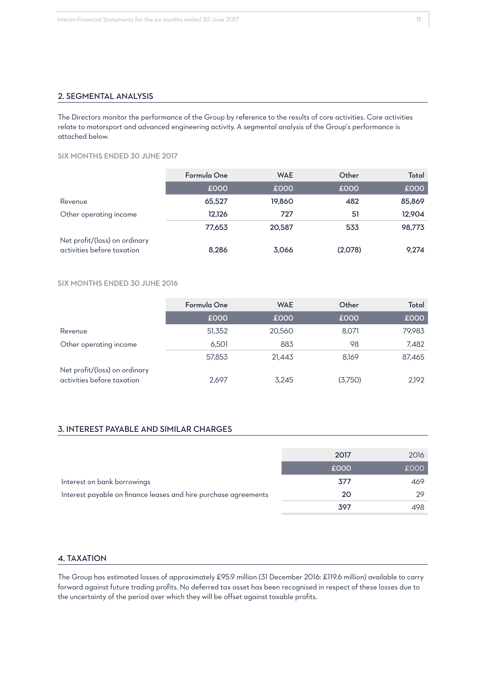### 2. SEGMENTAL ANALYSIS

The Directors monitor the performance of the Group by reference to the results of core activities. Core activities relate to motorsport and advanced engineering activity. A segmental analysis of the Group's performance is attached below.

SIX MONTHS ENDED 30 JUNE 2017

|                                                             | Formula One | <b>WAE</b> | Other   | Total  |
|-------------------------------------------------------------|-------------|------------|---------|--------|
|                                                             | £000        | £000       | £000    | £000   |
| Revenue                                                     | 65,527      | 19,860     | 482     | 85,869 |
| Other operating income                                      | 12,126      | 727        | 51      | 12,904 |
|                                                             | 77,653      | 20,587     | 533     | 98,773 |
| Net profit/(loss) on ordinary<br>activities before taxation | 8,286       | 3,066      | (2,078) | 9,274  |

#### SIX MONTHS ENDED 30 JUNE 2016

|                                                             | Formula One | <b>WAE</b> | Other   | Total  |
|-------------------------------------------------------------|-------------|------------|---------|--------|
|                                                             | £000        | £000       | £000    | £000   |
| Revenue                                                     | 51,352      | 20,560     | 8,071   | 79,983 |
| Other operating income                                      | 6.501       | 883        | 98      | 7,482  |
|                                                             | 57,853      | 21,443     | 8.169   | 87,465 |
| Net profit/(loss) on ordinary<br>activities before taxation | 2.697       | 3,245      | (3,750) | 2,192  |

### 3. INTEREST PAYABLE AND SIMILAR CHARGES

|                                                                 | 2017 | 2016 |
|-----------------------------------------------------------------|------|------|
|                                                                 | £000 | £000 |
| Interest on bank borrowings                                     | 377  | 469  |
| Interest payable on finance leases and hire purchase agreements | 20   | 29   |
|                                                                 | 397  | 498  |

# 4. TAXATION

The Group has estimated losses of approximately £95.9 million (31 December 2016: £119.6 million) available to carry forward against future trading profits. No deferred tax asset has been recognised in respect of these losses due to the uncertainty of the period over which they will be offset against taxable profits.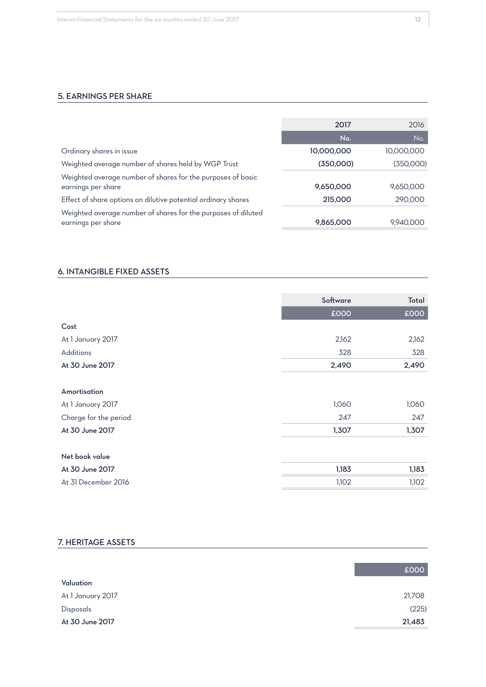# 5. EARNINGS PER SHARE

|                                                                                     | 2017       | 2016       |
|-------------------------------------------------------------------------------------|------------|------------|
|                                                                                     | No.        | No.        |
| Ordinary shares in issue                                                            | 10,000,000 | 10,000,000 |
| Weighted average number of shares held by WGP Trust                                 | (350,000)  | (350,000)  |
| Weighted average number of shares for the purposes of basic<br>earnings per share   | 9,650,000  | 9,650,000  |
| Effect of share options on dilutive potential ordinary shares                       | 215,000    | 290,000    |
| Weighted average number of shares for the purposes of diluted<br>earnings per share | 9,865,000  | 9,940,000  |

### 6. INTANGIBLE FIXED ASSETS

|                       | Software | Total |
|-----------------------|----------|-------|
|                       | £000     | £000  |
| Cost                  |          |       |
|                       |          |       |
| At 1 January 2017     | 2,162    | 2,162 |
| Additions             | 328      | 328   |
| At 30 June 2017       | 2,490    | 2,490 |
| Amortisation          |          |       |
| At 1 January 2017     | 1,060    | 1,060 |
| Charge for the period | 247      | 247   |
| At 30 June 2017       | 1,307    | 1,307 |
| Net book value        |          |       |
| At 30 June 2017       | 1,183    | 1,183 |
| At 31 December 2016   | 1,102    | 1,102 |

### 7. HERITAGE ASSETS

|                   | £000   |
|-------------------|--------|
| Valuation         |        |
| At 1 January 2017 | 21,708 |
| Disposals         | (225)  |
| At 30 June 2017   | 21,483 |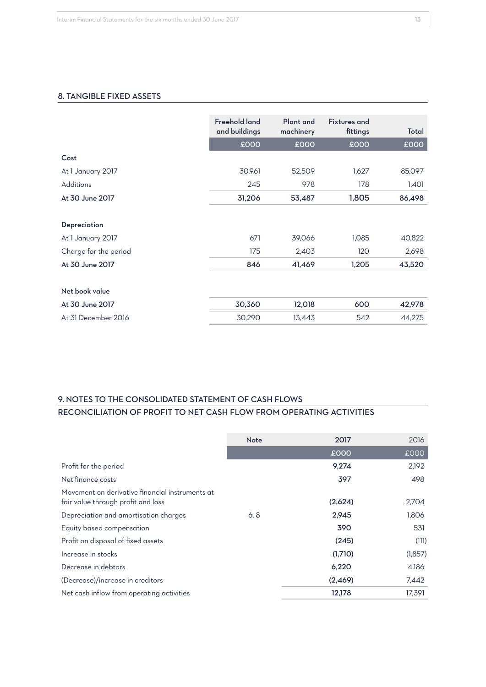### 8. TANGIBLE FIXED ASSETS

|                       | <b>Freehold land</b><br>and buildings | <b>Plant</b> and<br>machinery | <b>Fixtures and</b><br>fittings | Total  |
|-----------------------|---------------------------------------|-------------------------------|---------------------------------|--------|
|                       | £000                                  | £000                          | £000                            | £000   |
| Cost                  |                                       |                               |                                 |        |
| At 1 January 2017     | 30,961                                | 52,509                        | 1,627                           | 85,097 |
| <b>Additions</b>      | 245                                   | 978                           | 178                             | 1,401  |
| At 30 June 2017       | 31,206                                | 53,487                        | 1,805                           | 86,498 |
| Depreciation          |                                       |                               |                                 |        |
| At 1 January 2017     | 671                                   | 39,066                        | 1,085                           | 40,822 |
| Charge for the period | 175                                   | 2,403                         | 120                             | 2,698  |
| At 30 June 2017       | 846                                   | 41,469                        | 1,205                           | 43,520 |
| Net book value        |                                       |                               |                                 |        |
| At 30 June 2017       | 30,360                                | 12,018                        | 600                             | 42,978 |
| At 31 December 2016   | 30,290                                | 13,443                        | 542                             | 44,275 |

# 9. NOTES TO THE CONSOLIDATED STATEMENT OF CASH FLOWS RECONCILIATION OF PROFIT TO NET CASH FLOW FROM OPERATING ACTIVITIES

|                                                                                       | <b>Note</b> | 2017    | 2016    |
|---------------------------------------------------------------------------------------|-------------|---------|---------|
|                                                                                       |             | £000    | £000    |
| Profit for the period                                                                 |             | 9,274   | 2,192   |
| Net finance costs                                                                     |             | 397     | 498     |
| Movement on derivative financial instruments at<br>fair value through profit and loss |             | (2,624) | 2,704   |
| Depreciation and amortisation charges                                                 | 6, 8        | 2,945   | 1,806   |
| Equity based compensation                                                             |             | 390     | 531     |
| Profit on disposal of fixed assets                                                    |             | (245)   | (111)   |
| Increase in stocks                                                                    |             | (1,710) | (1,857) |
| Decrease in debtors                                                                   |             | 6,220   | 4,186   |
| (Decrease)/increase in creditors                                                      |             | (2,469) | 7,442   |
| Net cash inflow from operating activities                                             |             | 12,178  | 17.391  |